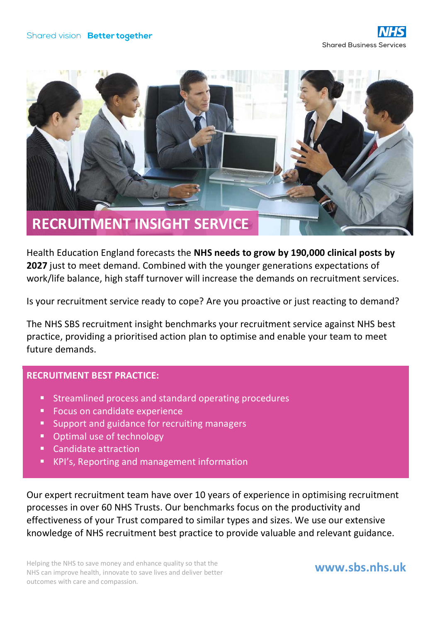

Health Education England forecasts the **NHS needs to grow by 190,000 clinical posts by 2027** just to meet demand. Combined with the younger generations expectations of work/life balance, high staff turnover will increase the demands on recruitment services.

Is your recruitment service ready to cope? Are you proactive or just reacting to demand?

The NHS SBS recruitment insight benchmarks your recruitment service against NHS best practice, providing a prioritised action plan to optimise and enable your team to meet future demands.

## **RECRUITMENT BEST PRACTICE:**

- **Streamlined process and standard operating procedures**
- **Focus on candidate experience**
- **Support and guidance for recruiting managers**
- Optimal use of technology
- Candidate attraction
- **KPI's, Reporting and management information**

Our expert recruitment team have over 10 years of experience in optimising recruitment processes in over 60 NHS Trusts. Our benchmarks focus on the productivity and effectiveness of your Trust compared to similar types and sizes. We use our extensive knowledge of NHS recruitment best practice to provide valuable and relevant guidance.

Helping the NHS to save money and enhance quality so that the NHS can improve health, innovate to save lives and deliver better outcomes with care and compassion.

## **www.sbs.nhs.uk**